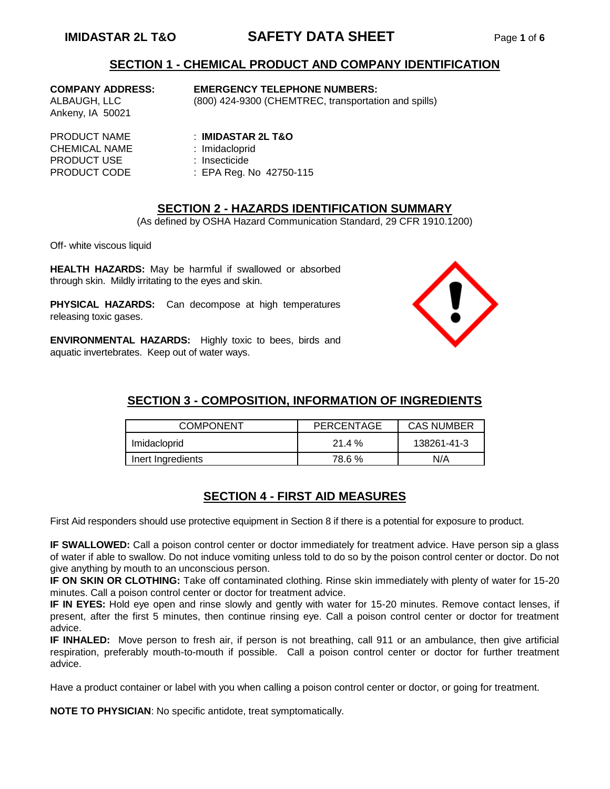# **IMIDASTAR 2L T&O SAFETY DATA SHEET** Page **1** of **6**

## **SECTION 1 - CHEMICAL PRODUCT AND COMPANY IDENTIFICATION**

Ankeny, IA 50021

#### **COMPANY ADDRESS: EMERGENCY TELEPHONE NUMBERS:**

ALBAUGH, LLC (800) 424-9300 (CHEMTREC, transportation and spills)

CHEMICAL NAME : Imidacloprid PRODUCT USE : Insecticide

### PRODUCT NAME : **IMIDASTAR 2L T&O**

- 
- 
- PRODUCT CODE : EPA Reg. No 42750-115

## **SECTION 2 - HAZARDS IDENTIFICATION SUMMARY**

(As defined by OSHA Hazard Communication Standard, 29 CFR 1910.1200)

Off- white viscous liquid

**HEALTH HAZARDS:** May be harmful if swallowed or absorbed through skin. Mildly irritating to the eyes and skin.

**PHYSICAL HAZARDS:** Can decompose at high temperatures releasing toxic gases.

**ENVIRONMENTAL HAZARDS:** Highly toxic to bees, birds and aquatic invertebrates. Keep out of water ways.



# **SECTION 3 - COMPOSITION, INFORMATION OF INGREDIENTS**

| <b>COMPONENT</b>  | PERCENTAGE | <b>CAS NUMBER</b> |
|-------------------|------------|-------------------|
| Imidacloprid      | $21.4\%$   | 138261-41-3       |
| Inert Ingredients | 78.6%      | N/A               |

# **SECTION 4 - FIRST AID MEASURES**

First Aid responders should use protective equipment in Section 8 if there is a potential for exposure to product.

**IF SWALLOWED:** Call a poison control center or doctor immediately for treatment advice. Have person sip a glass of water if able to swallow. Do not induce vomiting unless told to do so by the poison control center or doctor. Do not give anything by mouth to an unconscious person.

**IF ON SKIN OR CLOTHING:** Take off contaminated clothing. Rinse skin immediately with plenty of water for 15-20 minutes. Call a poison control center or doctor for treatment advice.

**IF IN EYES:** Hold eye open and rinse slowly and gently with water for 15-20 minutes. Remove contact lenses, if present, after the first 5 minutes, then continue rinsing eye. Call a poison control center or doctor for treatment advice.

**IF INHALED:** Move person to fresh air, if person is not breathing, call 911 or an ambulance, then give artificial respiration, preferably mouth-to-mouth if possible. Call a poison control center or doctor for further treatment advice.

Have a product container or label with you when calling a poison control center or doctor, or going for treatment.

**NOTE TO PHYSICIAN**: No specific antidote, treat symptomatically.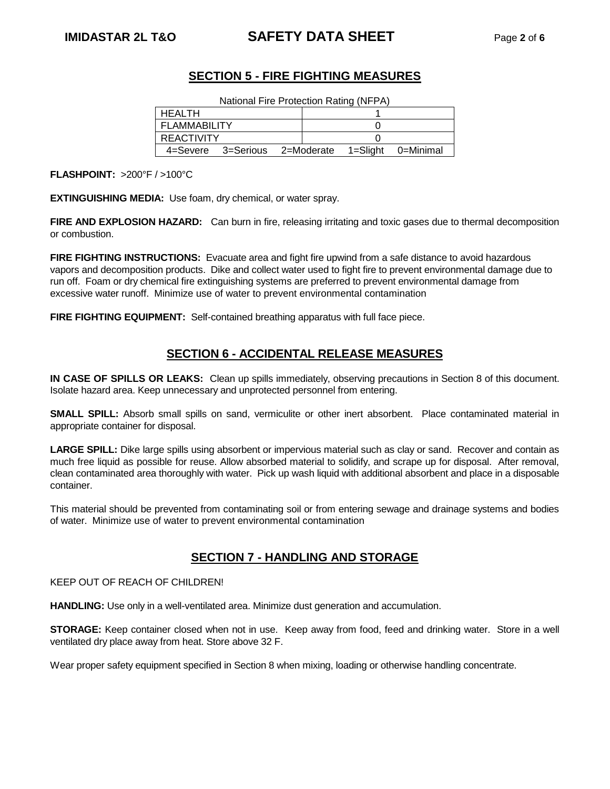# **IMIDASTAR 2L T&O SAFETY DATA SHEET** Page **2** of **6**

# **SECTION 5 - FIRE FIGHTING MEASURES**

| National Fire Protection Rating (NFPA) |                               |  |  |                    |
|----------------------------------------|-------------------------------|--|--|--------------------|
| HFAI TH                                |                               |  |  |                    |
| <b>FLAMMABILITY</b>                    |                               |  |  |                    |
| <b>REACTIVITY</b>                      |                               |  |  |                    |
|                                        | 4=Severe 3=Serious 2=Moderate |  |  | 1=Slight 0=Minimal |

**FLASHPOINT:** >200°F / >100°C

**EXTINGUISHING MEDIA:** Use foam, dry chemical, or water spray.

**FIRE AND EXPLOSION HAZARD:** Can burn in fire, releasing irritating and toxic gases due to thermal decomposition or combustion.

**FIRE FIGHTING INSTRUCTIONS:** Evacuate area and fight fire upwind from a safe distance to avoid hazardous vapors and decomposition products. Dike and collect water used to fight fire to prevent environmental damage due to run off. Foam or dry chemical fire extinguishing systems are preferred to prevent environmental damage from excessive water runoff. Minimize use of water to prevent environmental contamination

FIRE FIGHTING EQUIPMENT: Self-contained breathing apparatus with full face piece.

# **SECTION 6 - ACCIDENTAL RELEASE MEASURES**

**IN CASE OF SPILLS OR LEAKS:** Clean up spills immediately, observing precautions in Section 8 of this document. Isolate hazard area. Keep unnecessary and unprotected personnel from entering.

**SMALL SPILL:** Absorb small spills on sand, vermiculite or other inert absorbent. Place contaminated material in appropriate container for disposal.

**LARGE SPILL:** Dike large spills using absorbent or impervious material such as clay or sand. Recover and contain as much free liquid as possible for reuse. Allow absorbed material to solidify, and scrape up for disposal. After removal, clean contaminated area thoroughly with water. Pick up wash liquid with additional absorbent and place in a disposable container.

This material should be prevented from contaminating soil or from entering sewage and drainage systems and bodies of water. Minimize use of water to prevent environmental contamination

# **SECTION 7 - HANDLING AND STORAGE**

KEEP OUT OF REACH OF CHILDREN!

**HANDLING:** Use only in a well-ventilated area. Minimize dust generation and accumulation.

**STORAGE:** Keep container closed when not in use. Keep away from food, feed and drinking water. Store in a well ventilated dry place away from heat. Store above 32 F.

Wear proper safety equipment specified in Section 8 when mixing, loading or otherwise handling concentrate.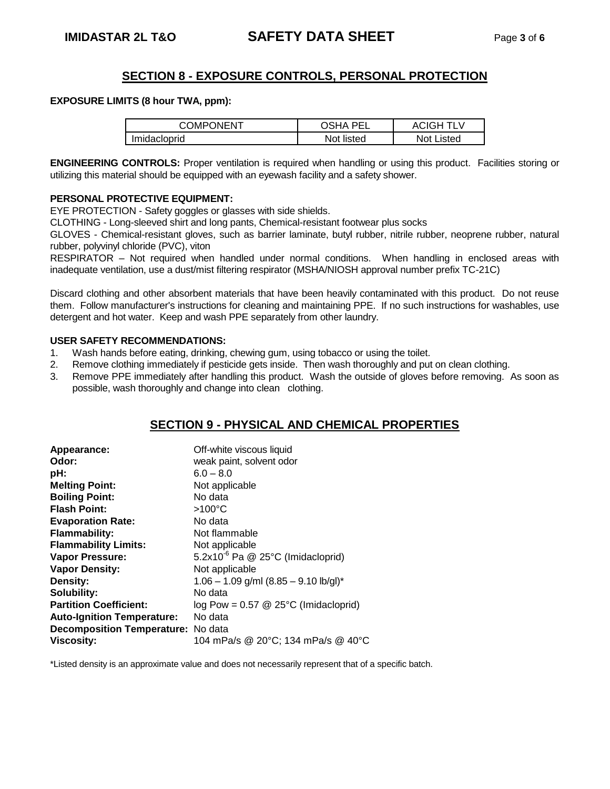# **SECTION 8 - EXPOSURE CONTROLS, PERSONAL PROTECTION**

#### **EXPOSURE LIMITS (8 hour TWA, ppm):**

| COMPONENT    | <b>OSHA PEL</b> | <b>ACIGH TLV</b>  |
|--------------|-----------------|-------------------|
| Imidacloprid | Not listed      | <b>Not Listed</b> |

**ENGINEERING CONTROLS:** Proper ventilation is required when handling or using this product. Facilities storing or utilizing this material should be equipped with an eyewash facility and a safety shower.

#### **PERSONAL PROTECTIVE EQUIPMENT:**

EYE PROTECTION - Safety goggles or glasses with side shields.

CLOTHING - Long-sleeved shirt and long pants, Chemical-resistant footwear plus socks

GLOVES - Chemical-resistant gloves, such as barrier laminate, butyl rubber, nitrile rubber, neoprene rubber, natural rubber, polyvinyl chloride (PVC), viton

RESPIRATOR – Not required when handled under normal conditions. When handling in enclosed areas with inadequate ventilation, use a dust/mist filtering respirator (MSHA/NIOSH approval number prefix TC-21C)

Discard clothing and other absorbent materials that have been heavily contaminated with this product. Do not reuse them. Follow manufacturer's instructions for cleaning and maintaining PPE. If no such instructions for washables, use detergent and hot water. Keep and wash PPE separately from other laundry.

#### **USER SAFETY RECOMMENDATIONS:**

- 1. Wash hands before eating, drinking, chewing gum, using tobacco or using the toilet.
- 2. Remove clothing immediately if pesticide gets inside. Then wash thoroughly and put on clean clothing.
- 3. Remove PPE immediately after handling this product. Wash the outside of gloves before removing. As soon as possible, wash thoroughly and change into clean clothing.

# **SECTION 9 - PHYSICAL AND CHEMICAL PROPERTIES**

| Appearance:                               | Off-white viscous liquid                        |
|-------------------------------------------|-------------------------------------------------|
| Odor:                                     | weak paint, solvent odor                        |
| pH:                                       | $6.0 - 8.0$                                     |
| <b>Melting Point:</b>                     | Not applicable                                  |
| <b>Boiling Point:</b>                     | No data                                         |
| <b>Flash Point:</b>                       | $>100^{\circ}$ C                                |
| <b>Evaporation Rate:</b>                  | No data                                         |
| <b>Flammability:</b>                      | Not flammable                                   |
| <b>Flammability Limits:</b>               | Not applicable                                  |
| Vapor Pressure:                           | 5.2x10 $^6$ Pa @ 25 $^{\circ}$ C (Imidacloprid) |
| <b>Vapor Density:</b>                     | Not applicable                                  |
| Density:                                  | $1.06 - 1.09$ g/ml $(8.85 - 9.10$ lb/gl)*       |
| <b>Solubility:</b>                        | No data                                         |
| <b>Partition Coefficient:</b>             | log Pow = $0.57 \& 25^{\circ}$ C (Imidacloprid) |
| <b>Auto-Ignition Temperature:</b>         | No data                                         |
| <b>Decomposition Temperature:</b> No data |                                                 |
| <b>Viscosity:</b>                         | 104 mPa/s @ 20°C; 134 mPa/s @ 40°C              |

\*Listed density is an approximate value and does not necessarily represent that of a specific batch.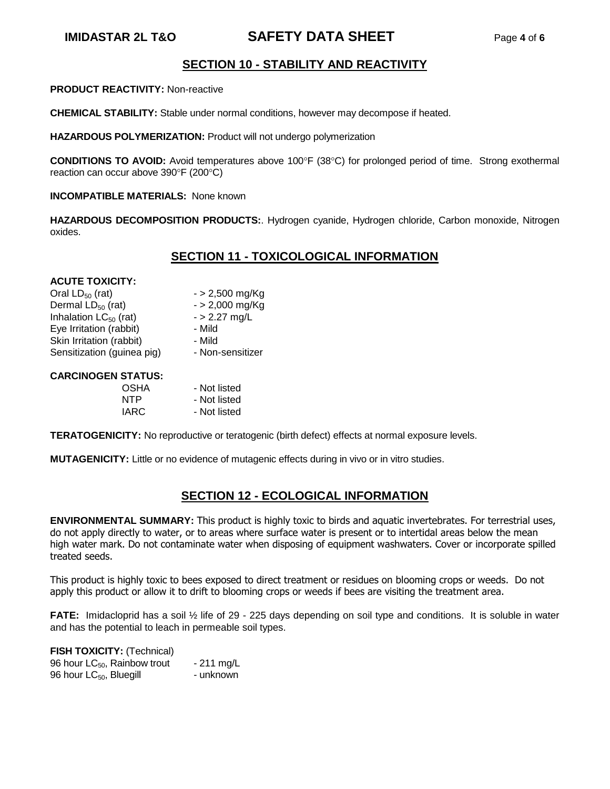# **IMIDASTAR 2L T&O SAFETY DATA SHEET** Page **4** of **6**

# **SECTION 10 - STABILITY AND REACTIVITY**

**PRODUCT REACTIVITY:** Non-reactive

**CHEMICAL STABILITY:** Stable under normal conditions, however may decompose if heated.

**HAZARDOUS POLYMERIZATION:** Product will not undergo polymerization

**CONDITIONS TO AVOID:** Avoid temperatures above 100°F (38°C) for prolonged period of time. Strong exothermal reaction can occur above 390°F (200°C)

**INCOMPATIBLE MATERIALS: None known** 

**HAZARDOUS DECOMPOSITION PRODUCTS:**. Hydrogen cyanide, Hydrogen chloride, Carbon monoxide, Nitrogen oxides.

# **SECTION 11 - TOXICOLOGICAL INFORMATION**

#### **ACUTE TOXICITY:**

| Oral $LD_{50}$ (rat)       | $-$ > 2,500 mg/Kg |
|----------------------------|-------------------|
| Dermal $LD_{50}$ (rat)     | $-$ > 2,000 mg/Kg |
| Inhalation $LC_{50}$ (rat) | $-$ > 2.27 mg/L   |
| Eye Irritation (rabbit)    | - Mild            |
| Skin Irritation (rabbit)   | - Mild            |
| Sensitization (guinea pig) | - Non-sensitizer  |
|                            |                   |

#### **CARCINOGEN STATUS:**

| OSHA | - Not listed |
|------|--------------|
| NTP  | - Not listed |
| IARC | - Not listed |

**TERATOGENICITY:** No reproductive or teratogenic (birth defect) effects at normal exposure levels.

**MUTAGENICITY:** Little or no evidence of mutagenic effects during in vivo or in vitro studies.

# **SECTION 12 - ECOLOGICAL INFORMATION**

**ENVIRONMENTAL SUMMARY:** This product is highly toxic to birds and aquatic invertebrates. For terrestrial uses, do not apply directly to water, or to areas where surface water is present or to intertidal areas below the mean high water mark. Do not contaminate water when disposing of equipment washwaters. Cover or incorporate spilled treated seeds.

This product is highly toxic to bees exposed to direct treatment or residues on blooming crops or weeds. Do not apply this product or allow it to drift to blooming crops or weeds if bees are visiting the treatment area.

**FATE:** Imidacloprid has a soil ½ life of 29 - 225 days depending on soil type and conditions. It is soluble in water and has the potential to leach in permeable soil types.

| <b>FISH TOXICITY: (Technical)</b>   |             |
|-------------------------------------|-------------|
| 96 hour $LC_{50}$ , Rainbow trout   | $-211$ mg/L |
| 96 hour LC <sub>50</sub> , Bluegill | - unknown   |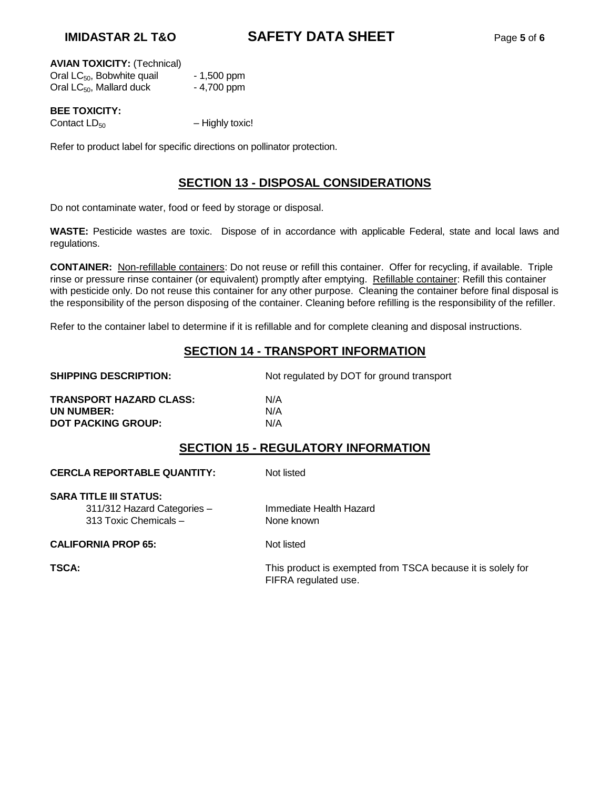#### **AVIAN TOXICITY:** (Technical)

| Oral LC <sub>50</sub> , Bobwhite quail | $-1,500$ ppm |
|----------------------------------------|--------------|
| Oral $LC_{50}$ , Mallard duck          | $-4,700$ ppm |

# **BEE TOXICITY:**

Contact  $LD_{50}$  – Highly toxic!

Refer to product label for specific directions on pollinator protection.

# **SECTION 13 - DISPOSAL CONSIDERATIONS**

Do not contaminate water, food or feed by storage or disposal.

**WASTE:** Pesticide wastes are toxic. Dispose of in accordance with applicable Federal, state and local laws and regulations.

**CONTAINER:** Non-refillable containers: Do not reuse or refill this container. Offer for recycling, if available. Triple rinse or pressure rinse container (or equivalent) promptly after emptying. Refillable container: Refill this container with pesticide only. Do not reuse this container for any other purpose. Cleaning the container before final disposal is the responsibility of the person disposing of the container. Cleaning before refilling is the responsibility of the refiller.

Refer to the container label to determine if it is refillable and for complete cleaning and disposal instructions.

# **SECTION 14 - TRANSPORT INFORMATION**

| <b>SHIPPING DESCRIPTION:</b>       | Not regulated by DOT for ground transport  |
|------------------------------------|--------------------------------------------|
| TRANSPORT HAZARD CLASS:            | N/A                                        |
| UN NUMBER:                         | N/A                                        |
| <b>DOT PACKING GROUP:</b>          | N/A                                        |
|                                    | <b>SECTION 15 - REGULATORY INFORMATION</b> |
| <b>CERCLA REPORTABLE QUANTITY:</b> | Not listed                                 |
|                                    |                                            |
| SARA TITLE III STATUS:             |                                            |
| 311/312 Hazard Categories -        | Immediate Health Hazard                    |

313 Toxic Chemicals – None known

**CALIFORNIA PROP 65:** Not listed

**TSCA:** THE TSCA: This product is exempted from TSCA because it is solely for FIFRA regulated use.